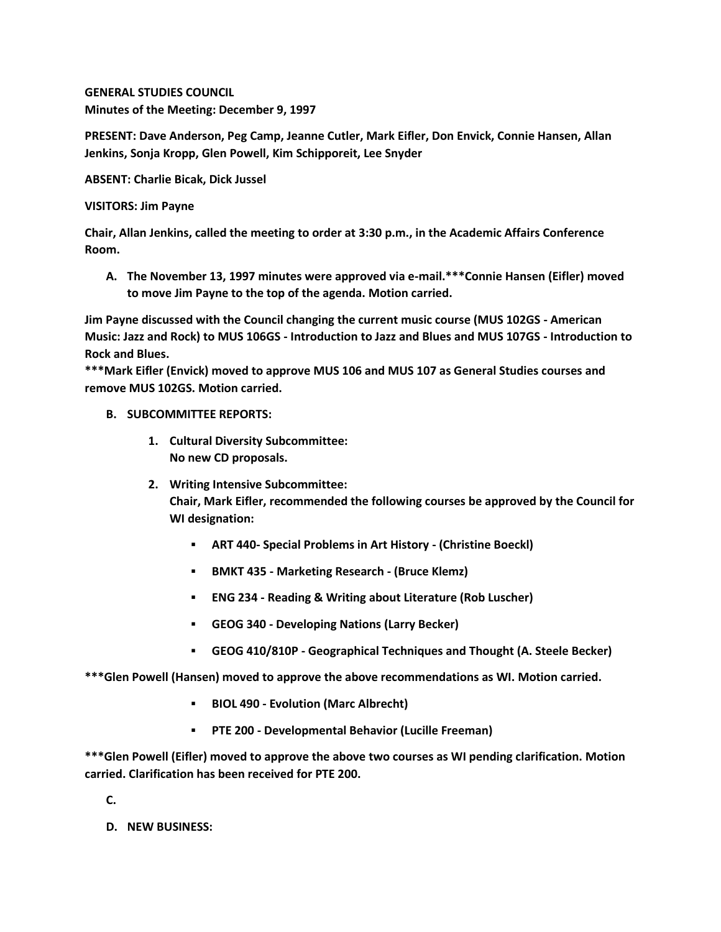**GENERAL STUDIES COUNCIL Minutes of the Meeting: December 9, 1997**

**PRESENT: Dave Anderson, Peg Camp, Jeanne Cutler, Mark Eifler, Don Envick, Connie Hansen, Allan Jenkins, Sonja Kropp, Glen Powell, Kim Schipporeit, Lee Snyder**

**ABSENT: Charlie Bicak, Dick Jussel**

**VISITORS: Jim Payne**

**Chair, Allan Jenkins, called the meeting to order at 3:30 p.m., in the Academic Affairs Conference Room.**

**A. The November 13, 1997 minutes were approved via e-mail.\*\*\*Connie Hansen (Eifler) moved to move Jim Payne to the top of the agenda. Motion carried.** 

**Jim Payne discussed with the Council changing the current music course (MUS 102GS - American Music: Jazz and Rock) to MUS 106GS - Introduction to Jazz and Blues and MUS 107GS - Introduction to Rock and Blues.**

**\*\*\*Mark Eifler (Envick) moved to approve MUS 106 and MUS 107 as General Studies courses and remove MUS 102GS. Motion carried.**

- **B. SUBCOMMITTEE REPORTS:**
	- **1. Cultural Diversity Subcommittee: No new CD proposals.**
	- **2. Writing Intensive Subcommittee: Chair, Mark Eifler, recommended the following courses be approved by the Council for WI designation:** 
		- **ART 440- Special Problems in Art History - (Christine Boeckl)**
		- **BMKT 435 - Marketing Research - (Bruce Klemz)**
		- **ENG 234 - Reading & Writing about Literature (Rob Luscher)**
		- **GEOG 340 - Developing Nations (Larry Becker)**
		- **GEOG 410/810P - Geographical Techniques and Thought (A. Steele Becker)**

**\*\*\*Glen Powell (Hansen) moved to approve the above recommendations as WI. Motion carried.** 

- **BIOL 490 - Evolution (Marc Albrecht)**
- **PTE 200 - Developmental Behavior (Lucille Freeman)**

**\*\*\*Glen Powell (Eifler) moved to approve the above two courses as WI pending clarification. Motion carried. Clarification has been received for PTE 200.**

**C.**

**D. NEW BUSINESS:**